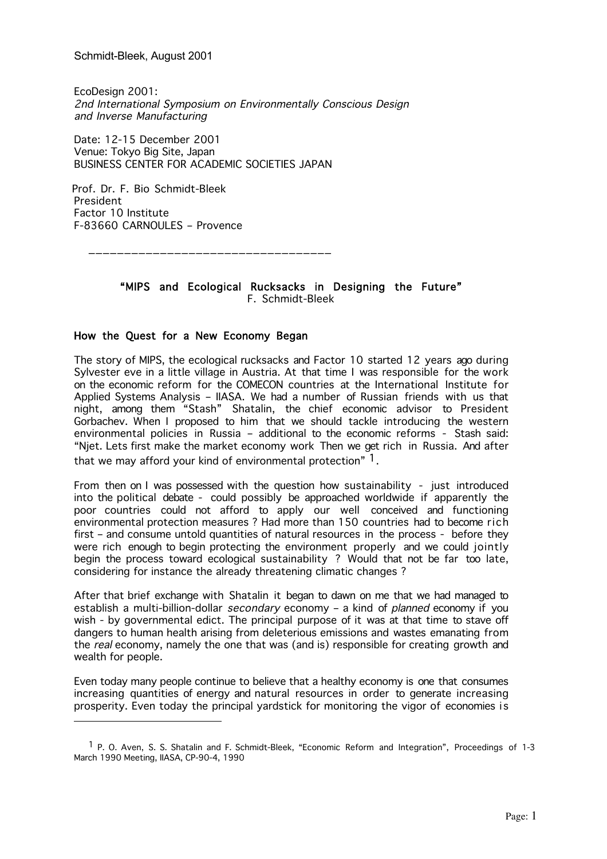EcoDesign 2001: 2nd International Symposium on Environmentally Conscious Design and Inverse Manufacturing

Date: 12-15 December 2001 Venue: Tokyo Big Site, Japan BUSINESS CENTER FOR ACADEMIC SOCIETIES JAPAN

Prof. Dr. F. Bio Schmidt-Bleek President Factor 10 Institute F-83660 CARNOULES – Provence

 $\overline{a}$ 

\_\_\_\_\_\_\_\_\_\_\_\_\_\_\_\_\_\_\_\_\_\_\_\_\_\_\_\_\_\_\_\_\_\_

"MIPS and Ecological Rucksacks in Designing the Future" F. Schmidt-Bleek

# How the Quest for a New Economy Began

The story of MIPS, the ecological rucksacks and Factor 10 started 12 years ago during Sylvester eve in a little village in Austria. At that time I was responsible for the work on the economic reform for the COMECON countries at the International Institute for Applied Systems Analysis – IIASA. We had a number of Russian friends with us that night, among them "Stash" Shatalin, the chief economic advisor to President Gorbachev. When I proposed to him that we should tackle introducing the western environmental policies in Russia – additional to the economic reforms - Stash said: "Njet. Lets first make the market economy work Then we get rich in Russia. And after that we may afford your kind of environmental protection"  $1$ .

From then on I was possessed with the question how sustainability - just introduced into the political debate - could possibly be approached worldwide if apparently the poor countries could not afford to apply our well conceived and functioning environmental protection measures ? Had more than 150 countries had to become rich first – and consume untold quantities of natural resources in the process - before they were rich enough to begin protecting the environment properly and we could jointly begin the process toward ecological sustainability ? Would that not be far too late, considering for instance the already threatening climatic changes ?

After that brief exchange with Shatalin it began to dawn on me that we had managed to establish a multi-billion-dollar secondary economy - a kind of planned economy if you wish - by governmental edict. The principal purpose of it was at that time to stave off dangers to human health arising from deleterious emissions and wastes emanating from the real economy, namely the one that was (and is) responsible for creating growth and wealth for people.

Even today many people continue to believe that a healthy economy is one that consumes increasing quantities of energy and natural resources in order to generate increasing prosperity. Even today the principal yardstick for monitoring the vigor of economies is

 $<sup>1</sup>$  P. O. Aven, S. S. Shatalin and F. Schmidt-Bleek, "Economic Reform and Integration", Proceedings of 1-3</sup> March 1990 Meeting, IIASA, CP-90-4, 1990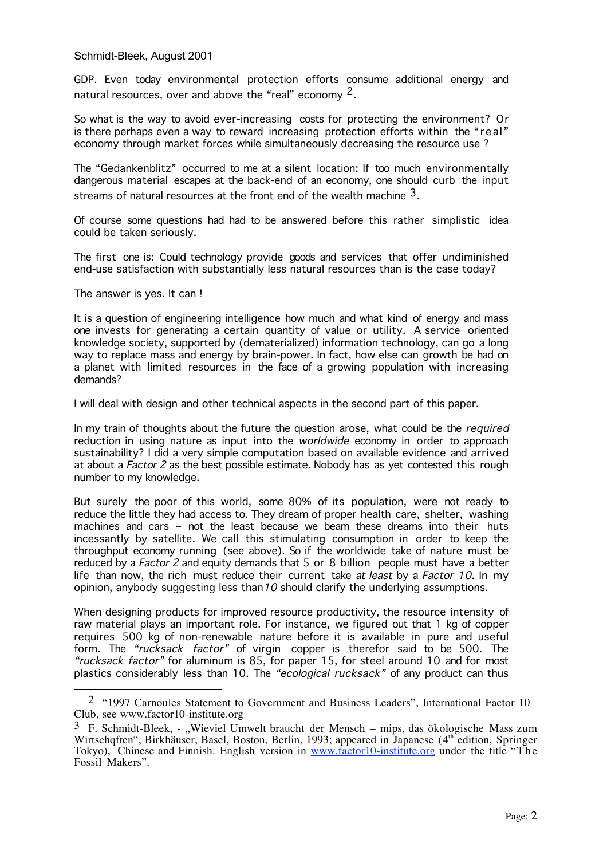GDP. Even today environmental protection efforts consume additional energy and natural resources, over and above the "real" economy  $2$ .

So what is the way to avoid ever-increasing costs for protecting the environment? Or is there perhaps even a way to reward increasing protection efforts within the "real" economy through market forces while simultaneously decreasing the resource use ?

The "Gedankenblitz" occurred to me at a silent location: If too much environmentally dangerous material escapes at the back-end of an economy, one should curb the input streams of natural resources at the front end of the wealth machine 3.

Of course some questions had had to be answered before this rather simplistic idea could be taken seriously.

The first one is: Could technology provide goods and services that offer undiminished end-use satisfaction with substantially less natural resources than is the case today?

The answer is yes. It can !

It is a question of engineering intelligence how much and what kind of energy and mass one invests for generating a certain quantity of value or utility. A service oriented knowledge society, supported by (dematerialized) information technology, can go a long way to replace mass and energy by brain-power. In fact, how else can growth be had on a planet with limited resources in the face of a growing population with increasing demands?

I will deal with design and other technical aspects in the second part of this paper.

In my train of thoughts about the future the question arose, what could be the *required* reduction in using nature as input into the *worldwide* economy in order to approach sustainability? I did a very simple computation based on available evidence and arrived at about a Factor 2 as the best possible estimate. Nobody has as yet contested this rough number to my knowledge.

But surely the poor of this world, some 80% of its population, were not ready to reduce the little they had access to. They dream of proper health care, shelter, washing machines and cars – not the least because we beam these dreams into their huts incessantly by satellite. We call this stimulating consumption in order to keep the throughput economy running (see above). So if the worldwide take of nature must be reduced by a Factor 2 and equity demands that 5 or 8 billion people must have a better life than now, the rich must reduce their current take at least by a Factor 10. In my opinion, anybody suggesting less than  $10$  should clarify the underlying assumptions.

When designing products for improved resource productivity, the resource intensity of raw material plays an important role. For instance, we figured out that 1 kg of copper requires 500 kg of non-renewable nature before it is available in pure and useful form. The "rucksack factor" of virgin copper is therefor said to be 500. The "rucksack factor" for aluminum is 85, for paper 15, for steel around 10 and for most plastics considerably less than 10. The "ecological rucksack" of any product can thus

<sup>&</sup>lt;sup>2</sup> "1997 Carnoules Statement to Government and Business Leaders", International Factor 10 Club, see www.factor10-institute.org

 $3$  F. Schmidt-Bleek, - "Wieviel Umwelt braucht der Mensch – mips, das ökologische Mass zum Wirtschqften", Birkhäuser, Basel, Boston, Berlin, 1993; appeared in Japanese (4<sup>th</sup> edition, Springer Tokyo), Chinese and Finnish. English version in www.factor10-institute.org under the title "The Fossil Makers".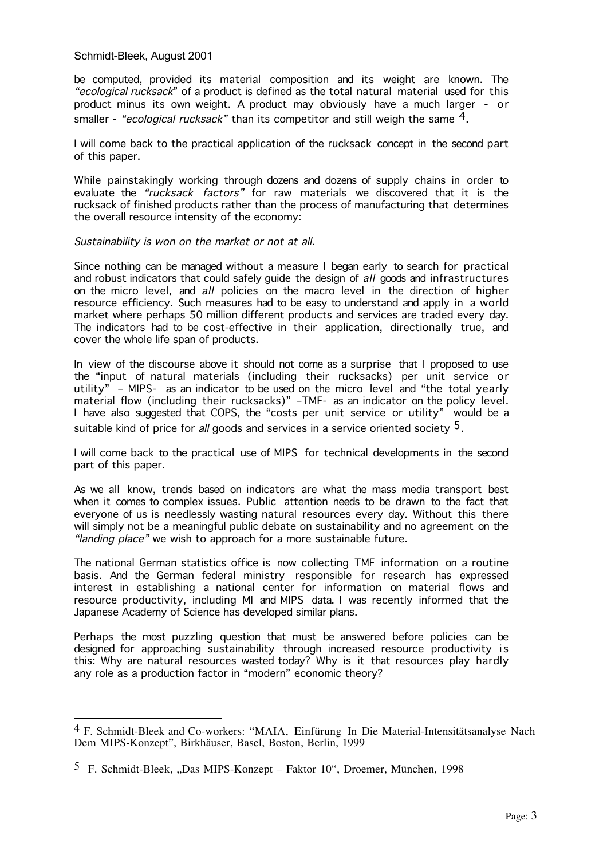$\overline{a}$ 

be computed, provided its material composition and its weight are known. The "ecological rucksack" of a product is defined as the total natural material used for this product minus its own weight. A product may obviously have a much larger - or smaller - "ecological rucksack" than its competitor and still weigh the same  $4$ .

I will come back to the practical application of the rucksack concept in the second part of this paper.

While painstakingly working through dozens and dozens of supply chains in order to evaluate the "rucksack factors" for raw materials we discovered that it is the rucksack of finished products rather than the process of manufacturing that determines the overall resource intensity of the economy:

#### Sustainability is won on the market or not at all.

Since nothing can be managed without a measure I began early to search for practical and robust indicators that could safely guide the design of all goods and infrastructures on the micro level, and all policies on the macro level in the direction of higher resource efficiency. Such measures had to be easy to understand and apply in a world market where perhaps 50 million different products and services are traded every day. The indicators had to be cost-effective in their application, directionally true, and cover the whole life span of products.

In view of the discourse above it should not come as a surprise that I proposed to use the "input of natural materials (including their rucksacks) per unit service or utility" – MIPS- as an indicator to be used on the micro level and "the total yearly material flow (including their rucksacks)" –TMF- as an indicator on the policy level. I have also suggested that COPS, the "costs per unit service or utility" would be a suitable kind of price for all goods and services in a service oriented society  $5$ .

I will come back to the practical use of MIPS for technical developments in the second part of this paper.

As we all know, trends based on indicators are what the mass media transport best when it comes to complex issues. Public attention needs to be drawn to the fact that everyone of us is needlessly wasting natural resources every day. Without this there will simply not be a meaningful public debate on sustainability and no agreement on the "landing place" we wish to approach for a more sustainable future.

The national German statistics office is now collecting TMF information on a routine basis. And the German federal ministry responsible for research has expressed interest in establishing a national center for information on material flows and resource productivity, including MI and MIPS data. I was recently informed that the Japanese Academy of Science has developed similar plans.

Perhaps the most puzzling question that must be answered before policies can be designed for approaching sustainability through increased resource productivity is this: Why are natural resources wasted today? Why is it that resources play hardly any role as a production factor in "modern" economic theory?

<sup>4</sup> F. Schmidt-Bleek and Co-workers: "MAIA, Einfürung In Die Material-Intensitätsanalyse Nach Dem MIPS-Konzept", Birkhäuser, Basel, Boston, Berlin, 1999

<sup>&</sup>lt;sup>5</sup> F. Schmidt-Bleek, "Das MIPS-Konzept – Faktor 10", Droemer, München, 1998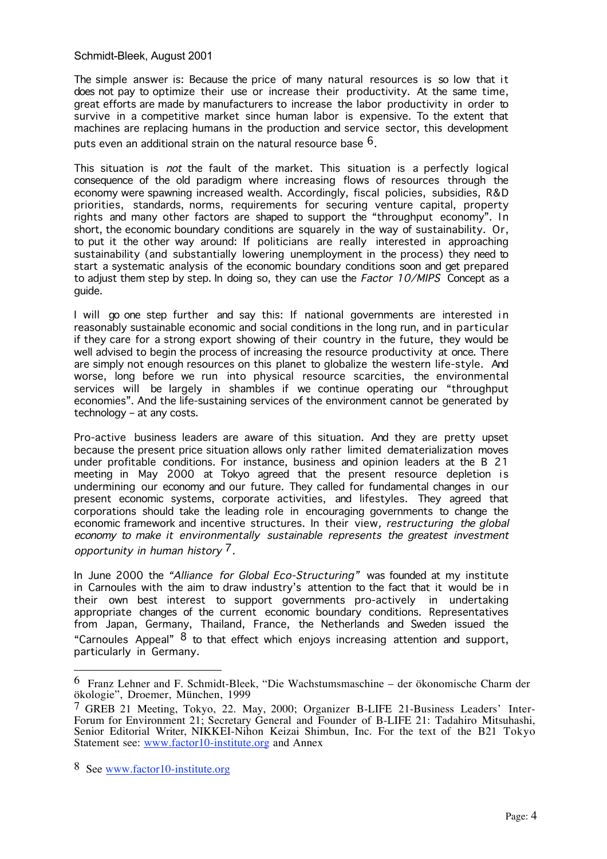The simple answer is: Because the price of many natural resources is so low that it does not pay to optimize their use or increase their productivity. At the same time, great efforts are made by manufacturers to increase the labor productivity in order to survive in a competitive market since human labor is expensive. To the extent that machines are replacing humans in the production and service sector, this development puts even an additional strain on the natural resource base <sup>6</sup>.

This situation is not the fault of the market. This situation is a perfectly logical consequence of the old paradigm where increasing flows of resources through the economy were spawning increased wealth. Accordingly, fiscal policies, subsidies, R&D priorities, standards, norms, requirements for securing venture capital, property rights and many other factors are shaped to support the "throughput economy". In short, the economic boundary conditions are squarely in the way of sustainability. Or, to put it the other way around: If politicians are really interested in approaching sustainability (and substantially lowering unemployment in the process) they need to start a systematic analysis of the economic boundary conditions soon and get prepared to adjust them step by step. In doing so, they can use the *Factor 10/MIPS* Concept as a guide.

I will go one step further and say this: If national governments are interested in reasonably sustainable economic and social conditions in the long run, and in particular if they care for a strong export showing of their country in the future, they would be well advised to begin the process of increasing the resource productivity at once. There are simply not enough resources on this planet to globalize the western life-style. And worse, long before we run into physical resource scarcities, the environmental services will be largely in shambles if we continue operating our "throughput economies". And the life-sustaining services of the environment cannot be generated by technology – at any costs.

Pro-active business leaders are aware of this situation. And they are pretty upset because the present price situation allows only rather limited dematerialization moves under profitable conditions. For instance, business and opinion leaders at the B 21 meeting in May 2000 at Tokyo agreed that the present resource depletion is undermining our economy and our future. They called for fundamental changes in our present economic systems, corporate activities, and lifestyles. They agreed that corporations should take the leading role in encouraging governments to change the economic framework and incentive structures. In their view, restructuring the global economy to make it environmentally sustainable represents the greatest investment opportunity in human history 7.

In June 2000 the "Alliance for Global Eco-Structuring" was founded at my institute in Carnoules with the aim to draw industry's attention to the fact that it would be i n their own best interest to support governments pro-actively in undertaking appropriate changes of the current economic boundary conditions. Representatives from Japan, Germany, Thailand, France, the Netherlands and Sweden issued the "Carnoules Appeal"  $8$  to that effect which enjoys increasing attention and support, particularly in Germany.

 $\overline{a}$ 

<sup>6</sup> Franz Lehner and F. Schmidt-Bleek, "Die Wachstumsmaschine – der ökonomische Charm der ökologie", Droemer, München, 1999

<sup>7</sup> GREB 21 Meeting, Tokyo, 22. May, 2000; Organizer B-LIFE 21-Business Leaders' Inter-Forum for Environment 21; Secretary General and Founder of B-LIFE 21: Tadahiro Mitsuhashi, Senior Editorial Writer, NIKKEI-Nihon Keizai Shimbun, Inc. For the text of the B21 Tokyo Statement see: www.factor10-institute.org and Annex

<sup>8</sup> See www.factor10-institute.org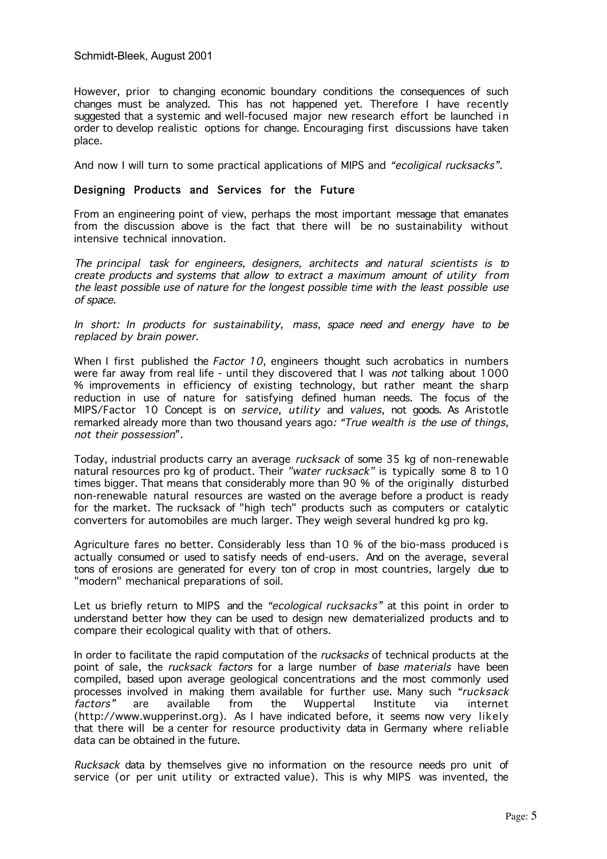However, prior to changing economic boundary conditions the consequences of such changes must be analyzed. This has not happened yet. Therefore I have recently suggested that a systemic and well-focused major new research effort be launched in order to develop realistic options for change. Encouraging first discussions have taken place.

And now I will turn to some practical applications of MIPS and "ecoligical rucksacks".

# Designing Products and Services for the Future

From an engineering point of view, perhaps the most important message that emanates from the discussion above is the fact that there will be no sustainability without intensive technical innovation.

The principal task for engineers, designers, architects and natural scientists is to create products and systems that allow to extract a maximum amount of utility from the least possible use of nature for the longest possible time with the least possible use of space.

In short: In products for sustainability, mass, space need and energy have to be replaced by brain power.

When I first published the *Factor 10*, engineers thought such acrobatics in numbers were far away from real life - until they discovered that I was not talking about 1000 % improvements in efficiency of existing technology, but rather meant the sharp reduction in use of nature for satisfying defined human needs. The focus of the MIPS/Factor 10 Concept is on service, utility and values, not goods. As Aristotle remarked already more than two thousand years ago: "True wealth is the use of things, not their possession".

Today, industrial products carry an average rucksack of some 35 kg of non-renewable natural resources pro kg of product. Their "water rucksack" is typically some 8 to 10 times bigger. That means that considerably more than 90 % of the originally disturbed non-renewable natural resources are wasted on the average before a product is ready for the market. The rucksack of "high tech" products such as computers or catalytic converters for automobiles are much larger. They weigh several hundred kg pro kg.

Agriculture fares no better. Considerably less than 10 % of the bio-mass produced is actually consumed or used to satisfy needs of end-users. And on the average, several tons of erosions are generated for every ton of crop in most countries, largely due to "modern" mechanical preparations of soil.

Let us briefly return to MIPS and the "ecological rucksacks" at this point in order to understand better how they can be used to design new dematerialized products and to compare their ecological quality with that of others.

In order to facilitate the rapid computation of the *rucksacks* of technical products at the point of sale, the *rucksack factors* for a large number of base materials have been compiled, based upon average geological concentrations and the most commonly used processes involved in making them available for further use. Many such "rucksack factors" are available from the Wuppertal Institute via internet (http://www.wupperinst.org). As I have indicated before, it seems now very likely that there will be a center for resource productivity data in Germany where reliable data can be obtained in the future.

Rucksack data by themselves give no information on the resource needs pro unit of service (or per unit utility or extracted value). This is why MIPS was invented, the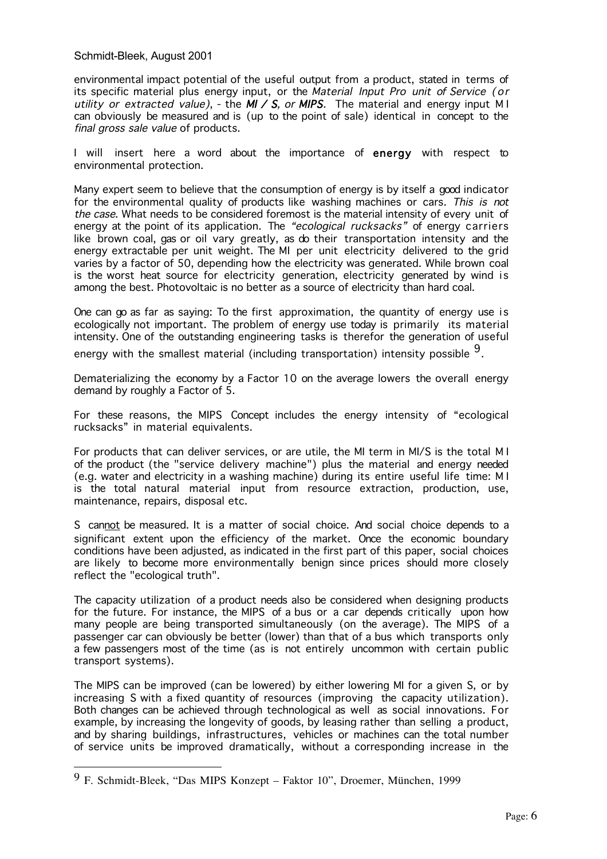environmental impact potential of the useful output from a product, stated in terms of its specific material plus energy input, or the Material Input Pro unit of Service (or utility or extracted value), - the MI / S, or MIPS. The material and energy input MI can obviously be measured and is (up to the point of sale) identical in concept to the final gross sale value of products.

I will insert here a word about the importance of energy with respect to environmental protection.

Many expert seem to believe that the consumption of energy is by itself a good indicator for the environmental quality of products like washing machines or cars. This is not the case. What needs to be considered foremost is the material intensity of every unit of energy at the point of its application. The "ecological rucksacks" of energy carriers like brown coal, gas or oil vary greatly, as do their transportation intensity and the energy extractable per unit weight. The MI per unit electricity delivered to the grid varies by a factor of 50, depending how the electricity was generated. While brown coal is the worst heat source for electricity generation, electricity generated by wind is among the best. Photovoltaic is no better as a source of electricity than hard coal.

One can go as far as saying: To the first approximation, the quantity of energy use is ecologically not important. The problem of energy use today is primarily its material intensity. One of the outstanding engineering tasks is therefor the generation of useful

energy with the smallest material (including transportation) intensity possible  $9$ .

Dematerializing the economy by a Factor 10 on the average lowers the overall energy demand by roughly a Factor of 5.

For these reasons, the MIPS Concept includes the energy intensity of "ecological rucksacks" in material equivalents.

For products that can deliver services, or are utile, the MI term in MI/S is the total M I of the product (the "service delivery machine") plus the material and energy needed (e.g. water and electricity in a washing machine) during its entire useful life time: M I is the total natural material input from resource extraction, production, use, maintenance, repairs, disposal etc.

S cannot be measured. It is a matter of social choice. And social choice depends to a significant extent upon the efficiency of the market. Once the economic boundary conditions have been adjusted, as indicated in the first part of this paper, social choices are likely to become more environmentally benign since prices should more closely reflect the "ecological truth".

The capacity utilization of a product needs also be considered when designing products for the future. For instance, the MIPS of a bus or a car depends critically upon how many people are being transported simultaneously (on the average). The MIPS of a passenger car can obviously be better (lower) than that of a bus which transports only a few passengers most of the time (as is not entirely uncommon with certain public transport systems).

The MIPS can be improved (can be lowered) by either lowering MI for a given S, or by increasing S with a fixed quantity of resources (improving the capacity utilization). Both changes can be achieved through technological as well as social innovations. For example, by increasing the longevity of goods, by leasing rather than selling a product, and by sharing buildings, infrastructures, vehicles or machines can the total number of service units be improved dramatically, without a corresponding increase in the

 $\overline{a}$ 

<sup>9</sup> F. Schmidt-Bleek, "Das MIPS Konzept – Faktor 10", Droemer, München, 1999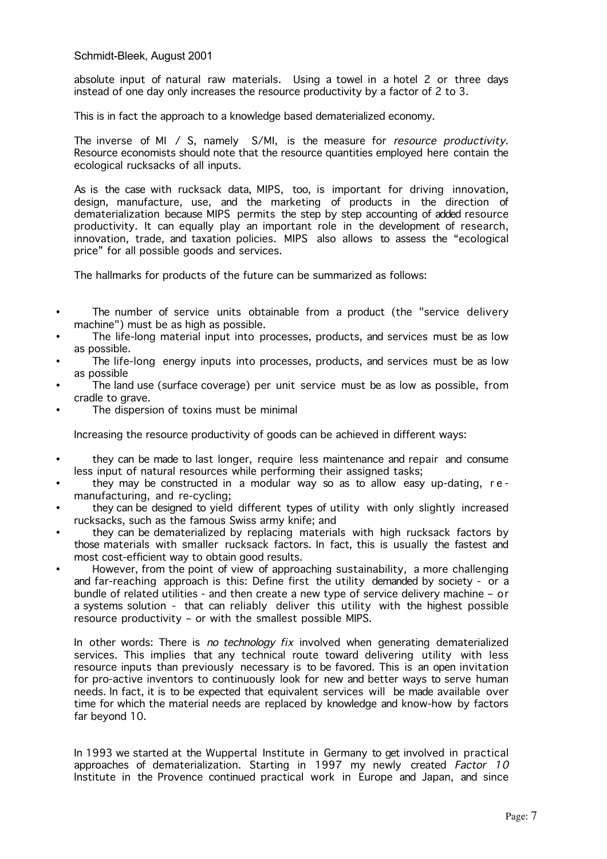absolute input of natural raw materials. Using a towel in a hotel 2 or three days instead of one day only increases the resource productivity by a factor of 2 to 3.

This is in fact the approach to a knowledge based dematerialized economy.

The inverse of MI  $\ell$  S, namely S/MI, is the measure for resource productivity. Resource economists should note that the resource quantities employed here contain the ecological rucksacks of all inputs.

As is the case with rucksack data, MIPS, too, is important for driving innovation, design, manufacture, use, and the marketing of products in the direction of dematerialization because MIPS permits the step by step accounting of added resource productivity. It can equally play an important role in the development of research, innovation, trade, and taxation policies. MIPS also allows to assess the "ecological price" for all possible goods and services.

The hallmarks for products of the future can be summarized as follows:

- The number of service units obtainable from a product (the "service delivery machine") must be as high as possible.
- The life-long material input into processes, products, and services must be as low as possible.
- The life-long energy inputs into processes, products, and services must be as low as possible
- The land use (surface coverage) per unit service must be as low as possible, from cradle to grave.
- The dispersion of toxins must be minimal

Increasing the resource productivity of goods can be achieved in different ways:

- they can be made to last longer, require less maintenance and repair and consume less input of natural resources while performing their assigned tasks;
- they may be constructed in a modular way so as to allow easy up-dating, remanufacturing, and re-cycling;
- they can be designed to yield different types of utility with only slightly increased rucksacks, such as the famous Swiss army knife; and
- they can be dematerialized by replacing materials with high rucksack factors by those materials with smaller rucksack factors. In fact, this is usually the fastest and most cost-efficient way to obtain good results.
- However, from the point of view of approaching sustainability, a more challenging and far-reaching approach is this: Define first the utility demanded by society - or a bundle of related utilities - and then create a new type of service delivery machine – or a systems solution - that can reliably deliver this utility with the highest possible resource productivity – or with the smallest possible MIPS.

In other words: There is no technology fix involved when generating dematerialized services. This implies that any technical route toward delivering utility with less resource inputs than previously necessary is to be favored. This is an open invitation for pro-active inventors to continuously look for new and better ways to serve human needs. In fact, it is to be expected that equivalent services will be made available over time for which the material needs are replaced by knowledge and know-how by factors far beyond 10.

In 1993 we started at the Wuppertal Institute in Germany to get involved in practical approaches of dematerialization. Starting in 1997 my newly created Factor 10 Institute in the Provence continued practical work in Europe and Japan, and since